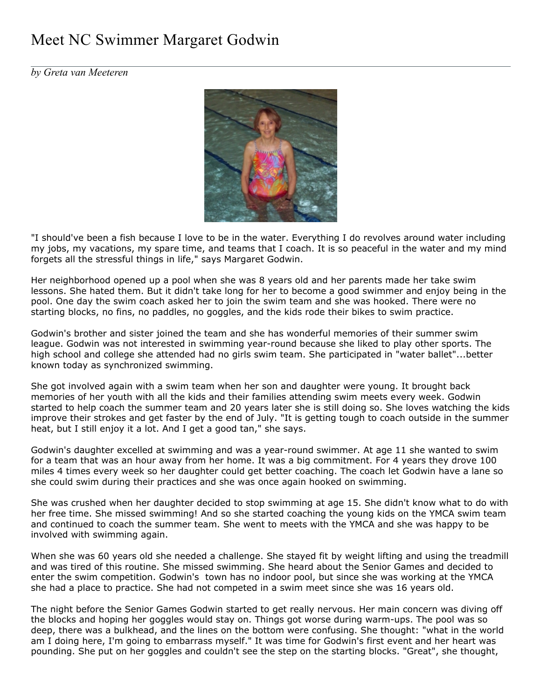## Meet NC Swimmer Margaret Godwin

*by Greta van Meeteren*



"I should've been a fish because I love to be in the water. Everything I do revolves around water including my jobs, my vacations, my spare time, and teams that I coach. It is so peaceful in the water and my mind forgets all the stressful things in life," says Margaret Godwin.

Her neighborhood opened up a pool when she was 8 years old and her parents made her take swim lessons. She hated them. But it didn't take long for her to become a good swimmer and enjoy being in the pool. One day the swim coach asked her to join the swim team and she was hooked. There were no starting blocks, no fins, no paddles, no goggles, and the kids rode their bikes to swim practice.

Godwin's brother and sister joined the team and she has wonderful memories of their summer swim league. Godwin was not interested in swimming year-round because she liked to play other sports. The high school and college she attended had no girls swim team. She participated in "water ballet"...better known today as synchronized swimming.

She got involved again with a swim team when her son and daughter were young. It brought back memories of her youth with all the kids and their families attending swim meets every week. Godwin started to help coach the summer team and 20 years later she is still doing so. She loves watching the kids improve their strokes and get faster by the end of July. "It is getting tough to coach outside in the summer heat, but I still enjoy it a lot. And I get a good tan," she says.

Godwin's daughter excelled at swimming and was a year-round swimmer. At age 11 she wanted to swim for a team that was an hour away from her home. It was a big commitment. For 4 years they drove 100 miles 4 times every week so her daughter could get better coaching. The coach let Godwin have a lane so she could swim during their practices and she was once again hooked on swimming.

She was crushed when her daughter decided to stop swimming at age 15. She didn't know what to do with her free time. She missed swimming! And so she started coaching the young kids on the YMCA swim team and continued to coach the summer team. She went to meets with the YMCA and she was happy to be involved with swimming again.

When she was 60 years old she needed a challenge. She stayed fit by weight lifting and using the treadmill and was tired of this routine. She missed swimming. She heard about the Senior Games and decided to enter the swim competition. Godwin's town has no indoor pool, but since she was working at the YMCA she had a place to practice. She had not competed in a swim meet since she was 16 years old.

The night before the Senior Games Godwin started to get really nervous. Her main concern was diving off the blocks and hoping her goggles would stay on. Things got worse during warm-ups. The pool was so deep, there was a bulkhead, and the lines on the bottom were confusing. She thought: "what in the world am I doing here, I'm going to embarrass myself." It was time for Godwin's first event and her heart was pounding. She put on her goggles and couldn't see the step on the starting blocks. "Great", she thought,